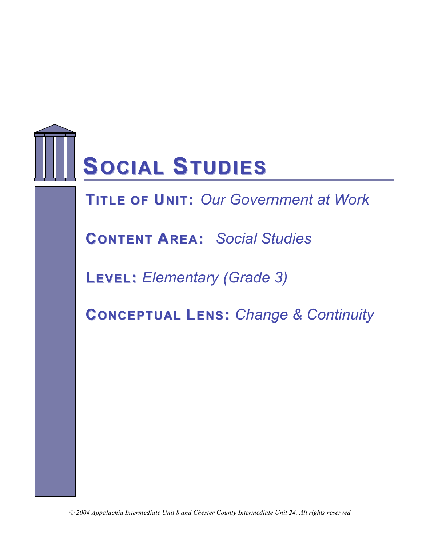

# **SOCIAL STUDIES**

**TITLE OF UNIT: Our Government at Work** 

**CONTENT AREA:** *Social Studies*

**LEVEL:** *Elementary (Grade 3)*

**CONCEPTUAL LENS:** *Change & Continuity*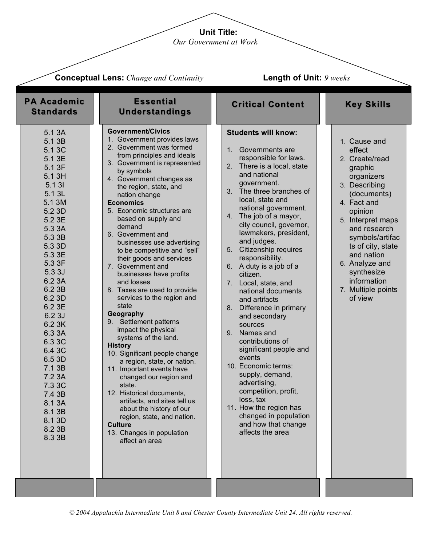**Unit Title:**

*Our Government at Work*

|                                                                                                                                                                                                                                                                                                                                                                      | <b>Conceptual Lens:</b> Change and Continuity                                                                                                                                                                                                                                                                                                                                                                                                                                                                                                                                                                                                                                                                                                                                                                                                                                                                                                                                                                  | <b>Length of Unit: 9 weeks</b>                                                                                                                                                                                                                                                                                                                                                                                                                                                                                                                                                                                                                                                                                                                                                                     |                                                                                                                                                                                                                                                                                                        |
|----------------------------------------------------------------------------------------------------------------------------------------------------------------------------------------------------------------------------------------------------------------------------------------------------------------------------------------------------------------------|----------------------------------------------------------------------------------------------------------------------------------------------------------------------------------------------------------------------------------------------------------------------------------------------------------------------------------------------------------------------------------------------------------------------------------------------------------------------------------------------------------------------------------------------------------------------------------------------------------------------------------------------------------------------------------------------------------------------------------------------------------------------------------------------------------------------------------------------------------------------------------------------------------------------------------------------------------------------------------------------------------------|----------------------------------------------------------------------------------------------------------------------------------------------------------------------------------------------------------------------------------------------------------------------------------------------------------------------------------------------------------------------------------------------------------------------------------------------------------------------------------------------------------------------------------------------------------------------------------------------------------------------------------------------------------------------------------------------------------------------------------------------------------------------------------------------------|--------------------------------------------------------------------------------------------------------------------------------------------------------------------------------------------------------------------------------------------------------------------------------------------------------|
| <b>PA Academic</b><br><b>Standards</b>                                                                                                                                                                                                                                                                                                                               | <b>Essential</b><br><b>Understandings</b>                                                                                                                                                                                                                                                                                                                                                                                                                                                                                                                                                                                                                                                                                                                                                                                                                                                                                                                                                                      | <b>Critical Content</b>                                                                                                                                                                                                                                                                                                                                                                                                                                                                                                                                                                                                                                                                                                                                                                            | <b>Key Skills</b>                                                                                                                                                                                                                                                                                      |
| 5.1 3A<br>5.1 3B<br>5.1 3C<br>5.1 3E<br>5.1 3F<br>5.1 3H<br>5.1 31<br>5.1 3L<br>5.1 3M<br>5.2 3D<br>5.2 3E<br>5.3 3A<br>5.3 3B<br>5.3 3D<br>5.3 3E<br>5.3 3F<br>5.3 3J<br>6.2 3A<br>6.2 3B<br>6.2 3D<br>6.2 3E<br>6.2 3J<br>6.2 3K<br>6.3 3A<br>6.3 3C<br>6.4 3C<br>6.5 3D<br>7.1 3B<br>7.2 3A<br>7.3 3C<br>7.4 3B<br>8.1 3A<br>8.1 3B<br>8.1 3D<br>8.2 3B<br>8.3 3B | <b>Government/Civics</b><br>1. Government provides laws<br>2. Government was formed<br>from principles and ideals<br>3. Government is represented<br>by symbols<br>4. Government changes as<br>the region, state, and<br>nation change<br><b>Economics</b><br>5. Economic structures are<br>based on supply and<br>demand<br>6. Government and<br>businesses use advertising<br>to be competitive and "sell"<br>their goods and services<br>7. Government and<br>businesses have profits<br>and losses<br>8. Taxes are used to provide<br>services to the region and<br>state<br>Geography<br>9. Settlement patterns<br>impact the physical<br>systems of the land.<br><b>History</b><br>10. Significant people change<br>a region, state, or nation.<br>11. Important events have<br>changed our region and<br>state.<br>12. Historical documents,<br>artifacts, and sites tell us<br>about the history of our<br>region, state, and nation.<br><b>Culture</b><br>13. Changes in population<br>affect an area | <b>Students will know:</b><br>Governments are<br>1.<br>responsible for laws.<br>2. There is a local, state<br>and national<br>government.<br>3. The three branches of<br>local, state and<br>national government.<br>4. The job of a mayor,<br>city council, governor,<br>lawmakers, president,<br>and judges.<br>5. Citizenship requires<br>responsibility.<br>6. A duty is a job of a<br>citizen.<br>7. Local, state, and<br>national documents<br>and artifacts<br>Difference in primary<br>8.<br>and secondary<br>sources<br>9. Names and<br>contributions of<br>significant people and<br>events<br>10. Economic terms:<br>supply, demand,<br>advertising,<br>competition, profit,<br>loss, tax<br>11. How the region has<br>changed in population<br>and how that change<br>affects the area | 1. Cause and<br>effect<br>2. Create/read<br>graphic<br>organizers<br>3. Describing<br>(documents)<br>4. Fact and<br>opinion<br>5. Interpret maps<br>and research<br>symbols/artifac<br>ts of city, state<br>and nation<br>6. Analyze and<br>synthesize<br>information<br>7. Multiple points<br>of view |
|                                                                                                                                                                                                                                                                                                                                                                      |                                                                                                                                                                                                                                                                                                                                                                                                                                                                                                                                                                                                                                                                                                                                                                                                                                                                                                                                                                                                                |                                                                                                                                                                                                                                                                                                                                                                                                                                                                                                                                                                                                                                                                                                                                                                                                    |                                                                                                                                                                                                                                                                                                        |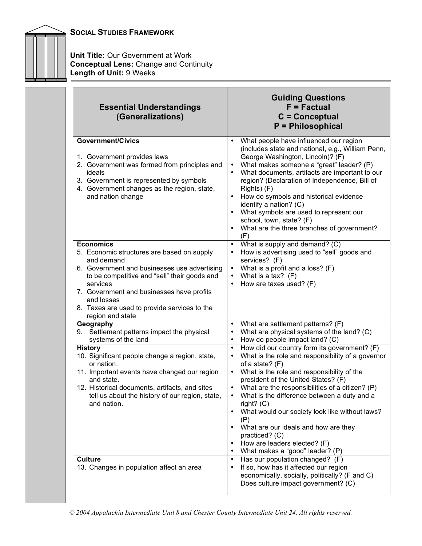

**Unit Title:** Our Government at Work **Conceptual Lens:** Change and Continuity **Length of Unit:** 9 Weeks

| <b>Essential Understandings</b><br>(Generalizations)                                                                                                                                                                                                                                                                    | <b>Guiding Questions</b><br>$F = Factorual$<br>$C =$ Conceptual<br>P = Philosophical                                                                                                                                                                                                                                                                                                                                                                                                                                                        |
|-------------------------------------------------------------------------------------------------------------------------------------------------------------------------------------------------------------------------------------------------------------------------------------------------------------------------|---------------------------------------------------------------------------------------------------------------------------------------------------------------------------------------------------------------------------------------------------------------------------------------------------------------------------------------------------------------------------------------------------------------------------------------------------------------------------------------------------------------------------------------------|
| <b>Government/Civics</b><br>1. Government provides laws<br>2. Government was formed from principles and<br>ideals<br>3. Government is represented by symbols<br>4. Government changes as the region, state,<br>and nation change                                                                                        | What people have influenced our region<br>(includes state and national, e.g., William Penn,<br>George Washington, Lincoln)? (F)<br>What makes someone a "great" leader? (P)<br>What documents, artifacts are important to our<br>region? (Declaration of Independence, Bill of<br>Rights) (F)<br>How do symbols and historical evidence<br>identify a nation? (C)<br>What symbols are used to represent our<br>school, town, state? (F)<br>What are the three branches of government?<br>(F)                                                |
| <b>Economics</b><br>5. Economic structures are based on supply<br>and demand<br>6. Government and businesses use advertising<br>to be competitive and "sell" their goods and<br>services<br>7. Government and businesses have profits<br>and losses<br>8. Taxes are used to provide services to the<br>region and state | What is supply and demand? (C)<br>$\bullet$<br>How is advertising used to "sell" goods and<br>$\bullet$<br>services? (F)<br>What is a profit and a loss? (F)<br>What is a tax? $(F)$<br>How are taxes used? (F)                                                                                                                                                                                                                                                                                                                             |
| Geography<br>9. Settlement patterns impact the physical<br>systems of the land                                                                                                                                                                                                                                          | What are settlement patterns? (F)<br>What are physical systems of the land? (C)<br>How do people impact land? (C)                                                                                                                                                                                                                                                                                                                                                                                                                           |
| <b>History</b><br>10. Significant people change a region, state,<br>or nation.<br>11. Important events have changed our region<br>and state.<br>12. Historical documents, artifacts, and sites<br>tell us about the history of our region, state,<br>and nation.                                                        | How did our country form its government? (F)<br>What is the role and responsibility of a governor<br>$\bullet$<br>of a state? (F)<br>What is the role and responsibility of the<br>president of the United States? (F)<br>What are the responsibilities of a citizen? (P)<br>What is the difference between a duty and a<br>$\bullet$<br>right? $(C)$<br>What would our society look like without laws?<br>(P)<br>What are our ideals and how are they<br>practiced? (C)<br>How are leaders elected? (F)<br>What makes a "good" leader? (P) |
| <b>Culture</b><br>13. Changes in population affect an area                                                                                                                                                                                                                                                              | Has our population changed? (F)<br>If so, how has it affected our region<br>economically, socially, politically? (F and C)<br>Does culture impact government? (C)                                                                                                                                                                                                                                                                                                                                                                           |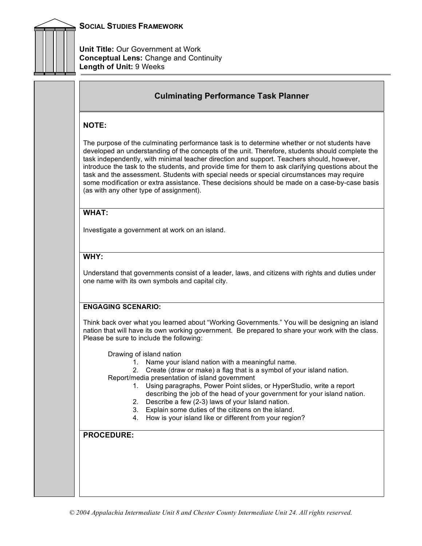

**Unit Title:** Our Government at Work **Conceptual Lens:** Change and Continuity **Length of Unit:** 9 Weeks

# **Culminating Performance Task Planner**

# **NOTE:**

The purpose of the culminating performance task is to determine whether or not students have developed an understanding of the concepts of the unit. Therefore, students should complete the task independently, with minimal teacher direction and support. Teachers should, however, introduce the task to the students, and provide time for them to ask clarifying questions about the task and the assessment. Students with special needs or special circumstances may require some modification or extra assistance. These decisions should be made on a case-by-case basis (as with any other type of assignment).

## **WHAT:**

Investigate a government at work on an island.

## **WHY:**

Understand that governments consist of a leader, laws, and citizens with rights and duties under one name with its own symbols and capital city.

## **ENGAGING SCENARIO:**

Think back over what you learned about "Working Governments." You will be designing an island nation that will have its own working government. Be prepared to share your work with the class. Please be sure to include the following:

Drawing of island nation

1. Name your island nation with a meaningful name.

2. Create (draw or make) a flag that is a symbol of your island nation. Report/media presentation of island government

- 1. Using paragraphs, Power Point slides, or HyperStudio, write a report describing the job of the head of your government for your island nation.
- 2. Describe a few (2-3) laws of your Island nation.
- 3. Explain some duties of the citizens on the island.
- 4. How is your island like or different from your region?

**PROCEDURE:**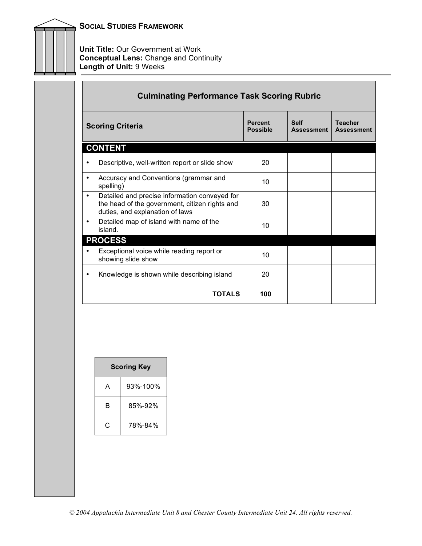

**Unit Title: Our Government at Work Conceptual Lens:** Change and Continuity **Length of Unit:** 9 Weeks

|   | <b>Culminating Performance Task Scoring Rubric</b>                                                                                 |                                   |                                  |                                     |
|---|------------------------------------------------------------------------------------------------------------------------------------|-----------------------------------|----------------------------------|-------------------------------------|
|   | <b>Scoring Criteria</b>                                                                                                            | <b>Percent</b><br><b>Possible</b> | <b>Self</b><br><b>Assessment</b> | <b>Teacher</b><br><b>Assessment</b> |
|   | <b>CONTENT</b>                                                                                                                     |                                   |                                  |                                     |
|   | Descriptive, well-written report or slide show                                                                                     | 20                                |                                  |                                     |
|   | Accuracy and Conventions (grammar and<br>spelling)                                                                                 | 10 <sup>1</sup>                   |                                  |                                     |
| ٠ | Detailed and precise information conveyed for<br>the head of the government, citizen rights and<br>duties, and explanation of laws | 30                                |                                  |                                     |
| ٠ | Detailed map of island with name of the<br>island.                                                                                 | 10                                |                                  |                                     |
|   | <b>PROCESS</b>                                                                                                                     |                                   |                                  |                                     |
|   | Exceptional voice while reading report or<br>showing slide show                                                                    | 10                                |                                  |                                     |
|   | Knowledge is shown while describing island                                                                                         | 20                                |                                  |                                     |
|   | <b>TOTALS</b>                                                                                                                      | 100                               |                                  |                                     |

| <b>Scoring Key</b> |          |  |
|--------------------|----------|--|
| A                  | 93%-100% |  |
| R                  | 85%-92%  |  |
| C                  | 78%-84%  |  |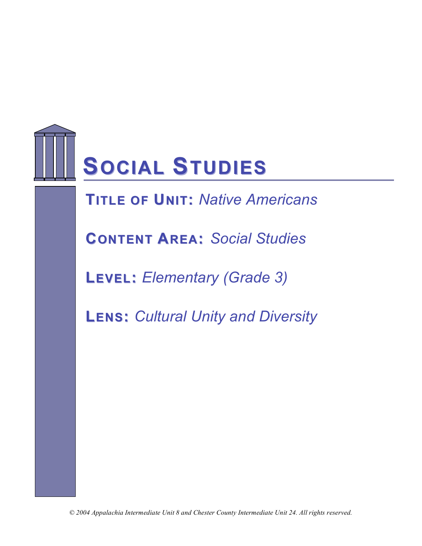

**TITLE OF UNIT: Native Americans** 

**CONTENT AREA:** *Social Studies*

**LEVEL:** *Elementary (Grade 3)*

**LENS:** *Cultural Unity and Diversity*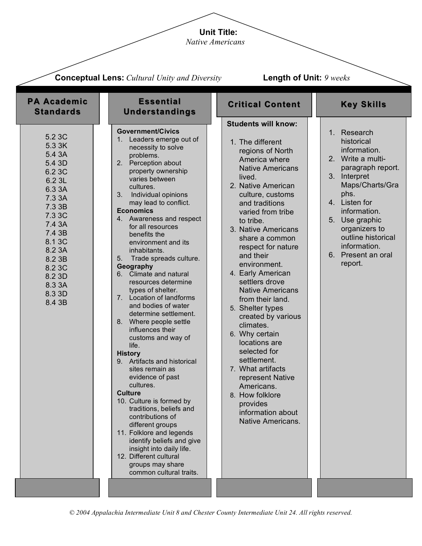# **Unit Title:**

*Native Americans*

|                                                                                                                                                                                                      | <b>Conceptual Lens:</b> Cultural Unity and Diversity                                                                                                                                                                                                                                                                                                                                                                                                                                                                                                                                                                                                                                                                                                                                                                                                                                                                                                                                                            | <b>Length of Unit: 9 weeks</b>                                                                                                                                                                                                                                                                                                                                                                                                                                                                                                                                                                                                                                    |                                                                                                                                                                                                                                                                           |
|------------------------------------------------------------------------------------------------------------------------------------------------------------------------------------------------------|-----------------------------------------------------------------------------------------------------------------------------------------------------------------------------------------------------------------------------------------------------------------------------------------------------------------------------------------------------------------------------------------------------------------------------------------------------------------------------------------------------------------------------------------------------------------------------------------------------------------------------------------------------------------------------------------------------------------------------------------------------------------------------------------------------------------------------------------------------------------------------------------------------------------------------------------------------------------------------------------------------------------|-------------------------------------------------------------------------------------------------------------------------------------------------------------------------------------------------------------------------------------------------------------------------------------------------------------------------------------------------------------------------------------------------------------------------------------------------------------------------------------------------------------------------------------------------------------------------------------------------------------------------------------------------------------------|---------------------------------------------------------------------------------------------------------------------------------------------------------------------------------------------------------------------------------------------------------------------------|
| <b>PA Academic</b><br><b>Standards</b>                                                                                                                                                               | <b>Essential</b><br><b>Understandings</b>                                                                                                                                                                                                                                                                                                                                                                                                                                                                                                                                                                                                                                                                                                                                                                                                                                                                                                                                                                       | <b>Critical Content</b>                                                                                                                                                                                                                                                                                                                                                                                                                                                                                                                                                                                                                                           | <b>Key Skills</b>                                                                                                                                                                                                                                                         |
| 5.2 3C<br>5.3 3K<br>5.4 3A<br>5.4 3D<br>6.2 3C<br>6.2 3L<br>6.3 3A<br>7.3 3A<br>7.3 3B<br>7.3 3C<br>7.4 3A<br>7.4 3B<br>8.1 3C<br>8.2 3A<br>8.2 3B<br>8.2 3C<br>8.2 3D<br>8.3 3A<br>8.3 3D<br>8.4 3B | <b>Government/Civics</b><br>1. Leaders emerge out of<br>necessity to solve<br>problems.<br>2. Perception about<br>property ownership<br>varies between<br>cultures.<br>3.<br>Individual opinions<br>may lead to conflict.<br><b>Economics</b><br>4. Awareness and respect<br>for all resources<br>benefits the<br>environment and its<br>inhabitants.<br>5. Trade spreads culture.<br>Geography<br>Climate and natural<br>resources determine<br>types of shelter.<br>7. Location of landforms<br>and bodies of water<br>determine settlement.<br>8. Where people settle<br>influences their<br>customs and way of<br>life.<br><b>History</b><br>9. Artifacts and historical<br>sites remain as<br>evidence of past<br>cultures.<br><b>Culture</b><br>10. Culture is formed by<br>traditions, beliefs and<br>contributions of<br>different groups<br>11. Folklore and legends<br>identify beliefs and give<br>insight into daily life.<br>12. Different cultural<br>groups may share<br>common cultural traits. | <b>Students will know:</b><br>1. The different<br>regions of North<br>America where<br><b>Native Americans</b><br>lived.<br>2. Native American<br>culture, customs<br>and traditions<br>varied from tribe<br>to tribe.<br>3. Native Americans<br>share a common<br>respect for nature<br>and their<br>environment.<br>4. Early American<br>settlers drove<br><b>Native Americans</b><br>from their land.<br>5. Shelter types<br>created by various<br>climates.<br>6. Why certain<br>locations are<br>selected for<br>settlement.<br>7. What artifacts<br>represent Native<br>Americans.<br>8. How folklore<br>provides<br>information about<br>Native Americans. | 1. Research<br>historical<br>information.<br>2. Write a multi-<br>paragraph report.<br>3. Interpret<br>Maps/Charts/Gra<br>phs.<br>4. Listen for<br>information.<br>5. Use graphic<br>organizers to<br>outline historical<br>information.<br>6. Present an oral<br>report. |
|                                                                                                                                                                                                      |                                                                                                                                                                                                                                                                                                                                                                                                                                                                                                                                                                                                                                                                                                                                                                                                                                                                                                                                                                                                                 |                                                                                                                                                                                                                                                                                                                                                                                                                                                                                                                                                                                                                                                                   |                                                                                                                                                                                                                                                                           |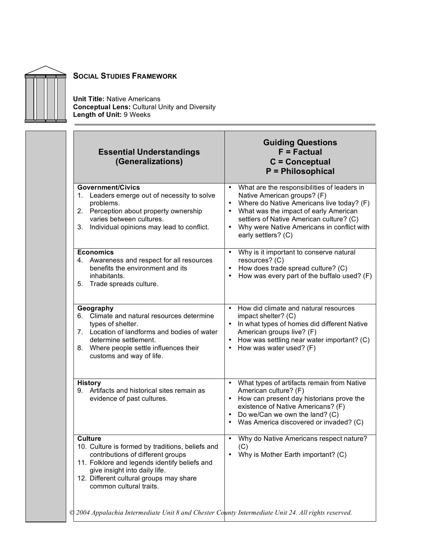

Ē.

# **SOCIAL STUDIES FRAMEWORK**

**Unit Title:** Native Americans **Conceptual Lens:** Cultural Unity and Diversity **Length of Unit:** 9 Weeks

| <b>Essential Understandings</b><br>(Generalizations)                                                                                                                                                                                                            | <b>Guiding Questions</b><br>$F = Factorual$<br>$C =$ Conceptual<br><b>P</b> = Philosophical                                                                                                                                                                                                                 |
|-----------------------------------------------------------------------------------------------------------------------------------------------------------------------------------------------------------------------------------------------------------------|-------------------------------------------------------------------------------------------------------------------------------------------------------------------------------------------------------------------------------------------------------------------------------------------------------------|
| <b>Government/Civics</b><br>Leaders emerge out of necessity to solve<br>1.<br>problems.<br>Perception about property ownership<br>2.<br>varies between cultures.<br>3.<br>Individual opinions may lead to conflict.                                             | What are the responsibilities of leaders in<br>$\bullet$<br>Native American groups? (F)<br>Where do Native Americans live today? (F)<br>What was the impact of early American<br>settlers of Native American culture? (C)<br>Why were Native Americans in conflict with<br>$\bullet$<br>early settlers? (C) |
| <b>Economics</b><br>4. Awareness and respect for all resources<br>benefits the environment and its<br>inhabitants.<br>5.<br>Trade spreads culture.                                                                                                              | Why is it important to conserve natural<br>$\bullet$<br>resources? (C)<br>How does trade spread culture? (C)<br>$\bullet$<br>How was every part of the buffalo used? (F)<br>$\bullet$                                                                                                                       |
| Geography<br>Climate and natural resources determine<br>6.<br>types of shelter.<br>7. Location of landforms and bodies of water<br>determine settlement.<br>8. Where people settle influences their<br>customs and way of life.                                 | • How did climate and natural resources<br>impact shelter? (C)<br>• In what types of homes did different Native<br>American groups live? (F)<br>How was settling near water important? (C)<br>How was water used? (F)                                                                                       |
| <b>History</b><br>Artifacts and historical sites remain as<br>9.<br>evidence of past cultures.                                                                                                                                                                  | What types of artifacts remain from Native<br>٠<br>American culture? (F)<br>• How can present day historians prove the<br>existence of Native Americans? (F)<br>• Do we/Can we own the land? (C)<br>• Was America discovered or invaded? (C)                                                                |
| <b>Culture</b><br>10. Culture is formed by traditions, beliefs and<br>contributions of different groups<br>11. Folklore and legends identify beliefs and<br>give insight into daily life.<br>12. Different cultural groups may share<br>common cultural traits. | Why do Native Americans respect nature?<br>(C)<br>Why is Mother Earth important? (C)                                                                                                                                                                                                                        |
| © 2004 Appalachia Intermediate Unit 8 and Chester County Intermediate Unit 24. All rights reserved.                                                                                                                                                             |                                                                                                                                                                                                                                                                                                             |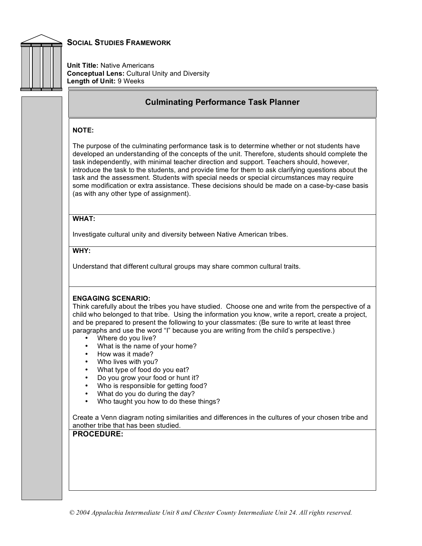

**Unit Title:** Native Americans **Conceptual Lens:** Cultural Unity and Diversity **Length of Unit:** 9 Weeks

# **Culminating Performance Task Planner**

#### **NOTE:**

The purpose of the culminating performance task is to determine whether or not students have developed an understanding of the concepts of the unit. Therefore, students should complete the task independently, with minimal teacher direction and support. Teachers should, however, introduce the task to the students, and provide time for them to ask clarifying questions about the task and the assessment. Students with special needs or special circumstances may require some modification or extra assistance. These decisions should be made on a case-by-case basis (as with any other type of assignment).

#### **WHAT:**

Investigate cultural unity and diversity between Native American tribes.

### **WHY:**

Understand that different cultural groups may share common cultural traits.

#### **ENGAGING SCENARIO:**

Think carefully about the tribes you have studied. Choose one and write from the perspective of a child who belonged to that tribe. Using the information you know, write a report, create a project, and be prepared to present the following to your classmates: (Be sure to write at least three paragraphs and use the word "I" because you are writing from the child's perspective.)

- Where do you live?
- What is the name of your home?
- How was it made?
- Who lives with you?
- What type of food do you eat?
- Do you grow your food or hunt it?
- Who is responsible for getting food?
- What do you do during the day?
- Who taught you how to do these things?

Create a Venn diagram noting similarities and differences in the cultures of your chosen tribe and another tribe that has been studied.

## **PROCEDURE:**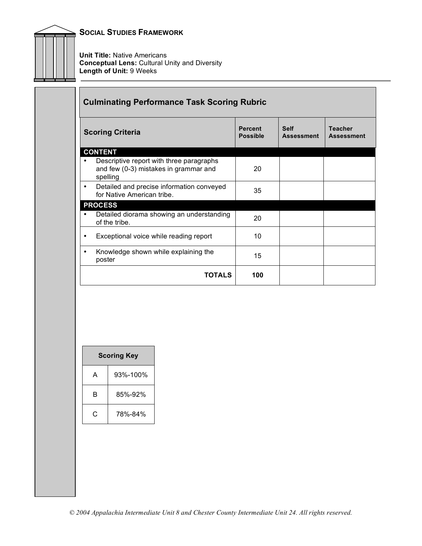

г

**Unit Title:** Native Americans **Conceptual Lens:** Cultural Unity and Diversity **Length of Unit:** 9 Weeks

|   | <b>Culminating Performance Task Scoring Rubric</b>                                            |                                   |                                  |                                     |
|---|-----------------------------------------------------------------------------------------------|-----------------------------------|----------------------------------|-------------------------------------|
|   | <b>Scoring Criteria</b>                                                                       | <b>Percent</b><br><b>Possible</b> | <b>Self</b><br><b>Assessment</b> | <b>Teacher</b><br><b>Assessment</b> |
|   | <b>CONTENT</b>                                                                                |                                   |                                  |                                     |
|   | Descriptive report with three paragraphs<br>and few (0-3) mistakes in grammar and<br>spelling | 20                                |                                  |                                     |
| ٠ | Detailed and precise information conveyed<br>for Native American tribe.                       | 35                                |                                  |                                     |
|   | <b>PROCESS</b>                                                                                |                                   |                                  |                                     |
|   | Detailed diorama showing an understanding<br>of the tribe.                                    | 20                                |                                  |                                     |
| ٠ | Exceptional voice while reading report                                                        | 10                                |                                  |                                     |
|   | Knowledge shown while explaining the<br>poster                                                | 15                                |                                  |                                     |
|   | <b>TOTALS</b>                                                                                 | 100                               |                                  |                                     |

 $\overline{\phantom{a}}$ 

| <b>Scoring Key</b> |          |  |
|--------------------|----------|--|
| A                  | 93%-100% |  |
| R                  | 85%-92%  |  |
| C                  | 78%-84%  |  |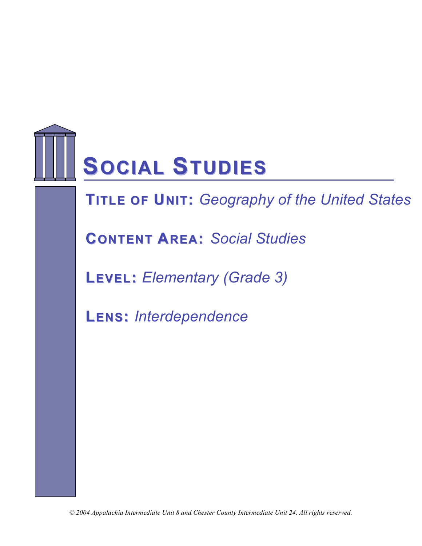

**FITLE OF UNIT:** Geography of the United States

**CONTENT AREA:** *Social Studies*

**LEVEL:** *Elementary (Grade 3)*

**LENS:** *Interdependence*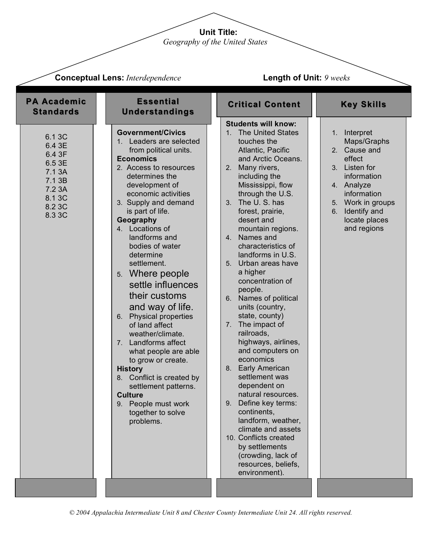**Unit Title:**

*Geography of the United States*

| <b>Conceptual Lens: Interdependence</b>                                                          |                                                                                                                                                                                                                                                                                                                                                                                                                                                                                                                                                                                                                                                                                                       | Length of Unit: 9 weeks                                                                                                                                                                                                                                                                                                                                                                                                                                                                                                                                                                                                                                                                                                                                                                                                                                                                                                    |                                                                                                                                                                                               |  |
|--------------------------------------------------------------------------------------------------|-------------------------------------------------------------------------------------------------------------------------------------------------------------------------------------------------------------------------------------------------------------------------------------------------------------------------------------------------------------------------------------------------------------------------------------------------------------------------------------------------------------------------------------------------------------------------------------------------------------------------------------------------------------------------------------------------------|----------------------------------------------------------------------------------------------------------------------------------------------------------------------------------------------------------------------------------------------------------------------------------------------------------------------------------------------------------------------------------------------------------------------------------------------------------------------------------------------------------------------------------------------------------------------------------------------------------------------------------------------------------------------------------------------------------------------------------------------------------------------------------------------------------------------------------------------------------------------------------------------------------------------------|-----------------------------------------------------------------------------------------------------------------------------------------------------------------------------------------------|--|
| <b>PA Academic</b><br><b>Standards</b>                                                           | <b>Essential</b><br><b>Understandings</b>                                                                                                                                                                                                                                                                                                                                                                                                                                                                                                                                                                                                                                                             | <b>Critical Content</b>                                                                                                                                                                                                                                                                                                                                                                                                                                                                                                                                                                                                                                                                                                                                                                                                                                                                                                    | <b>Key Skills</b>                                                                                                                                                                             |  |
| 6.1 3C<br>6.4 3E<br>6.4 3F<br>6.5 3E<br>7.1 3A<br>7.1 3B<br>7.2 3A<br>8.1 3C<br>8.2 3C<br>8.3 3C | <b>Government/Civics</b><br>1. Leaders are selected<br>from political units.<br><b>Economics</b><br>2. Access to resources<br>determines the<br>development of<br>economic activities<br>3. Supply and demand<br>is part of life.<br>Geography<br>4. Locations of<br>landforms and<br>bodies of water<br>determine<br>settlement.<br>5. Where people<br>settle influences<br>their customs<br>and way of life.<br>6. Physical properties<br>of land affect<br>weather/climate.<br>7. Landforms affect<br>what people are able<br>to grow or create.<br><b>History</b><br>8. Conflict is created by<br>settlement patterns.<br><b>Culture</b><br>9. People must work<br>together to solve<br>problems. | <b>Students will know:</b><br><b>The United States</b><br>1 <sub>1</sub><br>touches the<br>Atlantic, Pacific<br>and Arctic Oceans.<br>Many rivers,<br>2.<br>including the<br>Mississippi, flow<br>through the U.S.<br>The U.S. has<br>3 <sub>1</sub><br>forest, prairie,<br>desert and<br>mountain regions.<br>Names and<br>4 <sup>1</sup><br>characteristics of<br>landforms in U.S.<br>Urban areas have<br>5 <sub>1</sub><br>a higher<br>concentration of<br>people.<br>Names of political<br>6.<br>units (country,<br>state, county)<br>The impact of<br>7.<br>railroads,<br>highways, airlines,<br>and computers on<br>economics<br><b>Early American</b><br>8.<br>settlement was<br>dependent on<br>natural resources.<br>Define key terms:<br>9.<br>continents,<br>landform, weather,<br>climate and assets<br>10. Conflicts created<br>by settlements<br>(crowding, lack of<br>resources, beliefs,<br>environment). | 1. Interpret<br>Maps/Graphs<br>2. Cause and<br>effect<br>3. Listen for<br>information<br>4. Analyze<br>information<br>5. Work in groups<br>Identify and<br>6.<br>locate places<br>and regions |  |
|                                                                                                  |                                                                                                                                                                                                                                                                                                                                                                                                                                                                                                                                                                                                                                                                                                       |                                                                                                                                                                                                                                                                                                                                                                                                                                                                                                                                                                                                                                                                                                                                                                                                                                                                                                                            |                                                                                                                                                                                               |  |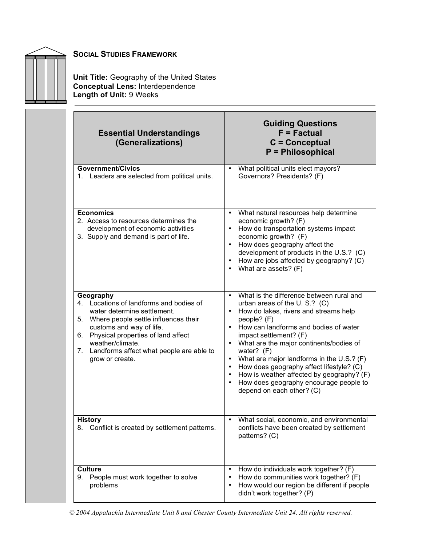

**Unit Title:** Geography of the United States **Conceptual Lens:** Interdependence **Length of Unit:** 9 Weeks

| <b>Essential Understandings</b><br>(Generalizations)                                                                                                                                                                                                                                               | <b>Guiding Questions</b><br>$F = Factorual$<br>$C =$ Conceptual<br><b>P</b> = Philosophical                                                                                                                                                                                                                                                                                                                                                                                                                          |
|----------------------------------------------------------------------------------------------------------------------------------------------------------------------------------------------------------------------------------------------------------------------------------------------------|----------------------------------------------------------------------------------------------------------------------------------------------------------------------------------------------------------------------------------------------------------------------------------------------------------------------------------------------------------------------------------------------------------------------------------------------------------------------------------------------------------------------|
| <b>Government/Civics</b><br>1. Leaders are selected from political units.                                                                                                                                                                                                                          | What political units elect mayors?<br>Governors? Presidents? (F)                                                                                                                                                                                                                                                                                                                                                                                                                                                     |
| <b>Economics</b><br>2. Access to resources determines the<br>development of economic activities<br>3. Supply and demand is part of life.                                                                                                                                                           | What natural resources help determine<br>economic growth? (F)<br>How do transportation systems impact<br>economic growth? (F)<br>• How does geography affect the<br>development of products in the U.S.? (C)<br>How are jobs affected by geography? (C)<br>What are assets? (F)                                                                                                                                                                                                                                      |
| Geography<br>Locations of landforms and bodies of<br>4.<br>water determine settlement.<br>Where people settle influences their<br>5.<br>customs and way of life.<br>Physical properties of land affect<br>6.<br>weather/climate.<br>7. Landforms affect what people are able to<br>grow or create. | What is the difference between rural and<br>$\bullet$<br>urban areas of the U.S.? (C)<br>How do lakes, rivers and streams help<br>people? (F)<br>• How can landforms and bodies of water<br>impact settlement? (F)<br>What are the major continents/bodies of<br>water? $(F)$<br>What are major landforms in the U.S.? (F)<br>$\bullet$<br>How does geography affect lifestyle? (C)<br>$\bullet$<br>How is weather affected by geography? (F)<br>How does geography encourage people to<br>depend on each other? (C) |
| History<br>Conflict is created by settlement patterns.<br>8.                                                                                                                                                                                                                                       | What social, economic, and environmental<br>$\bullet$<br>conflicts have been created by settlement<br>patterns? (C)                                                                                                                                                                                                                                                                                                                                                                                                  |
| <b>Culture</b><br>People must work together to solve<br>9.<br>problems                                                                                                                                                                                                                             | How do individuals work together? (F)<br>How do communities work together? (F)<br>How would our region be different if people<br>$\bullet$<br>didn't work together? (P)                                                                                                                                                                                                                                                                                                                                              |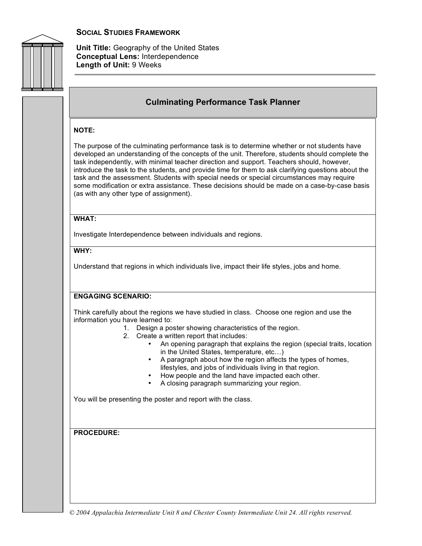

**Unit Title:** Geography of the United States **Conceptual Lens:** Interdependence **Length of Unit:** 9 Weeks

# **Culminating Performance Task Planner**

#### **NOTE:**

The purpose of the culminating performance task is to determine whether or not students have developed an understanding of the concepts of the unit. Therefore, students should complete the task independently, with minimal teacher direction and support. Teachers should, however, introduce the task to the students, and provide time for them to ask clarifying questions about the task and the assessment. Students with special needs or special circumstances may require some modification or extra assistance. These decisions should be made on a case-by-case basis (as with any other type of assignment).

#### **WHAT:**

Investigate Interdependence between individuals and regions.

## **WHY:**

Understand that regions in which individuals live, impact their life styles, jobs and home.

# **ENGAGING SCENARIO:**

Think carefully about the regions we have studied in class. Choose one region and use the information you have learned to:

- 1. Design a poster showing characteristics of the region.
- 2. Create a written report that includes:
	- An opening paragraph that explains the region (special traits, location in the United States, temperature, etc…)
	- A paragraph about how the region affects the types of homes, lifestyles, and jobs of individuals living in that region.
	- How people and the land have impacted each other.
	- A closing paragraph summarizing your region.

You will be presenting the poster and report with the class.

**PROCEDURE:**